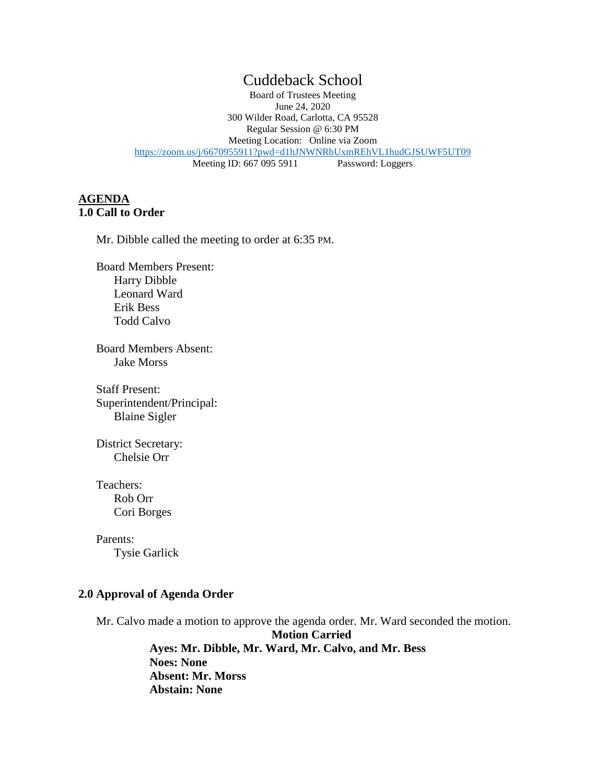# Cuddeback School

Board of Trustees Meeting June 24, 2020 300 Wilder Road, Carlotta, CA 95528 Regular Session @ 6:30 PM Meeting Location: Online via Zoom <https://zoom.us/j/6670955911?pwd=d1hJNWNRbUxmREhVL1hudGJSUWF5UT09><br>Meeting ID: 667 095 5911 Password: Loggers Meeting ID: 667 095 5911

## **AGENDA 1.0 Call to Order**

Mr. Dibble called the meeting to order at 6:35 PM.

Board Members Present: Harry Dibble Leonard Ward Erik Bess Todd Calvo

Board Members Absent: Jake Morss

Staff Present: Superintendent/Principal: Blaine Sigler

 District Secretary: Chelsie Orr

Teachers: Rob Orr Cori Borges

Parents: Tysie Garlick

### **2.0 Approval of Agenda Order**

Mr. Calvo made a motion to approve the agenda order. Mr. Ward seconded the motion.

**Motion Carried Ayes: Mr. Dibble, Mr. Ward, Mr. Calvo, and Mr. Bess Noes: None Absent: Mr. Morss Abstain: None**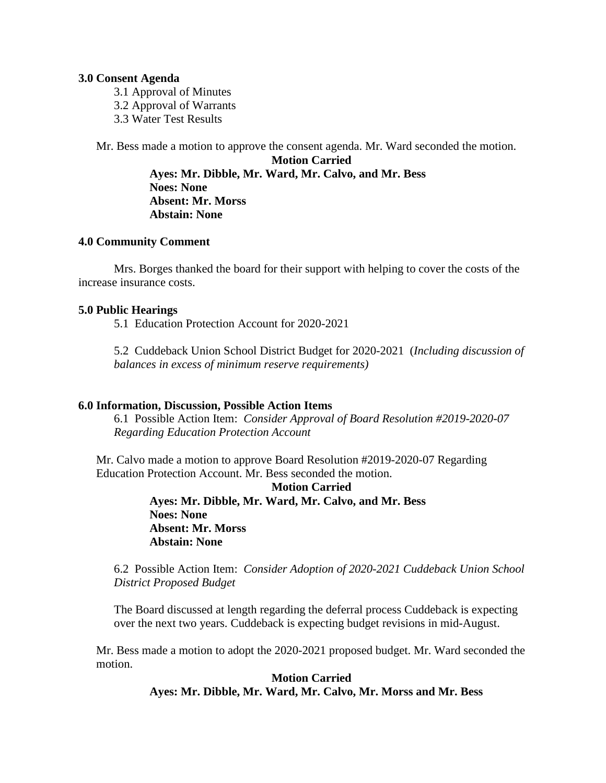#### **3.0 Consent Agenda**

3.1 Approval of Minutes 3.2 Approval of Warrants 3.3 Water Test Results

Mr. Bess made a motion to approve the consent agenda. Mr. Ward seconded the motion.

**Motion Carried Ayes: Mr. Dibble, Mr. Ward, Mr. Calvo, and Mr. Bess Noes: None Absent: Mr. Morss Abstain: None**

#### **4.0 Community Comment**

Mrs. Borges thanked the board for their support with helping to cover the costs of the increase insurance costs.

#### **5.0 Public Hearings**

5.1 Education Protection Account for 2020-2021

5.2 Cuddeback Union School District Budget for 2020-2021 (*Including discussion of balances in excess of minimum reserve requirements)*

### **6.0 Information, Discussion, Possible Action Items**

6.1 Possible Action Item: *Consider Approval of Board Resolution #2019-2020-07 Regarding Education Protection Account*

Mr. Calvo made a motion to approve Board Resolution #2019-2020-07 Regarding Education Protection Account. Mr. Bess seconded the motion.

> **Motion Carried Ayes: Mr. Dibble, Mr. Ward, Mr. Calvo, and Mr. Bess Noes: None Absent: Mr. Morss Abstain: None**

6.2 Possible Action Item: *Consider Adoption of 2020-2021 Cuddeback Union School District Proposed Budget*

The Board discussed at length regarding the deferral process Cuddeback is expecting over the next two years. Cuddeback is expecting budget revisions in mid-August.

Mr. Bess made a motion to adopt the 2020-2021 proposed budget. Mr. Ward seconded the motion.

> **Motion Carried Ayes: Mr. Dibble, Mr. Ward, Mr. Calvo, Mr. Morss and Mr. Bess**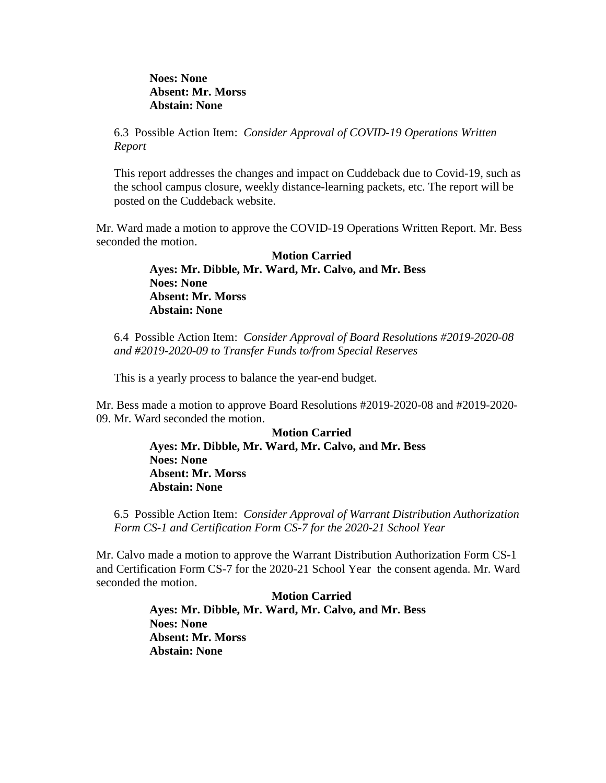**Noes: None Absent: Mr. Morss Abstain: None**

6.3 Possible Action Item: *Consider Approval of COVID-19 Operations Written Report*

This report addresses the changes and impact on Cuddeback due to Covid-19, such as the school campus closure, weekly distance-learning packets, etc. The report will be posted on the Cuddeback website.

Mr. Ward made a motion to approve the COVID-19 Operations Written Report. Mr. Bess seconded the motion.

> **Motion Carried Ayes: Mr. Dibble, Mr. Ward, Mr. Calvo, and Mr. Bess Noes: None Absent: Mr. Morss Abstain: None**

6.4 Possible Action Item: *Consider Approval of Board Resolutions #2019-2020-08 and #2019-2020-09 to Transfer Funds to/from Special Reserves*

This is a yearly process to balance the year-end budget.

Mr. Bess made a motion to approve Board Resolutions #2019-2020-08 and #2019-2020- 09. Mr. Ward seconded the motion.

> **Motion Carried Ayes: Mr. Dibble, Mr. Ward, Mr. Calvo, and Mr. Bess Noes: None Absent: Mr. Morss Abstain: None**

6.5 Possible Action Item: *Consider Approval of Warrant Distribution Authorization Form CS-1 and Certification Form CS-7 for the 2020-21 School Year*

Mr. Calvo made a motion to approve the Warrant Distribution Authorization Form CS-1 and Certification Form CS-7 for the 2020-21 School Year the consent agenda. Mr. Ward seconded the motion.

> **Motion Carried Ayes: Mr. Dibble, Mr. Ward, Mr. Calvo, and Mr. Bess Noes: None Absent: Mr. Morss Abstain: None**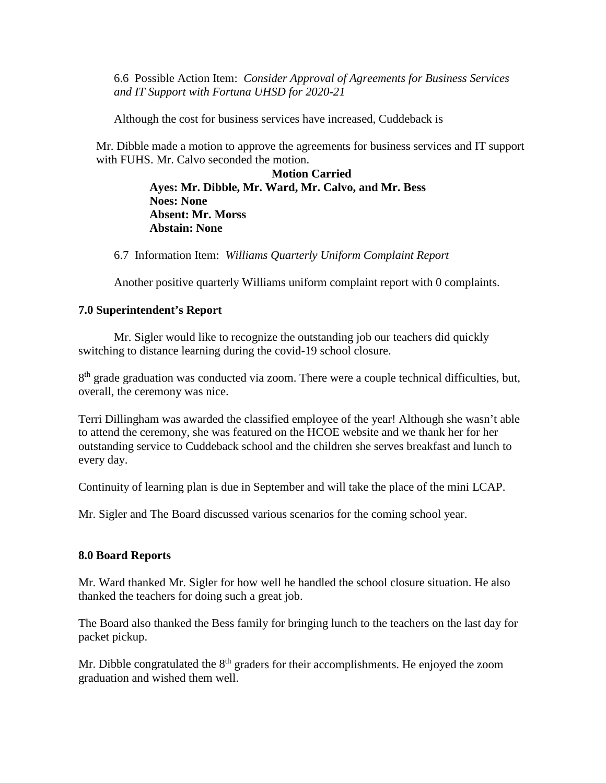6.6 Possible Action Item: *Consider Approval of Agreements for Business Services and IT Support with Fortuna UHSD for 2020-21*

Although the cost for business services have increased, Cuddeback is

Mr. Dibble made a motion to approve the agreements for business services and IT support with FUHS. Mr. Calvo seconded the motion.

> **Motion Carried Ayes: Mr. Dibble, Mr. Ward, Mr. Calvo, and Mr. Bess Noes: None Absent: Mr. Morss Abstain: None**

6.7 Information Item: *Williams Quarterly Uniform Complaint Report*

Another positive quarterly Williams uniform complaint report with 0 complaints.

## **7.0 Superintendent's Report**

Mr. Sigler would like to recognize the outstanding job our teachers did quickly switching to distance learning during the covid-19 school closure.

 $8<sup>th</sup>$  grade graduation was conducted via zoom. There were a couple technical difficulties, but, overall, the ceremony was nice.

Terri Dillingham was awarded the classified employee of the year! Although she wasn't able to attend the ceremony, she was featured on the HCOE website and we thank her for her outstanding service to Cuddeback school and the children she serves breakfast and lunch to every day.

Continuity of learning plan is due in September and will take the place of the mini LCAP.

Mr. Sigler and The Board discussed various scenarios for the coming school year.

## **8.0 Board Reports**

Mr. Ward thanked Mr. Sigler for how well he handled the school closure situation. He also thanked the teachers for doing such a great job.

The Board also thanked the Bess family for bringing lunch to the teachers on the last day for packet pickup.

Mr. Dibble congratulated the  $8<sup>th</sup>$  graders for their accomplishments. He enjoyed the zoom graduation and wished them well.